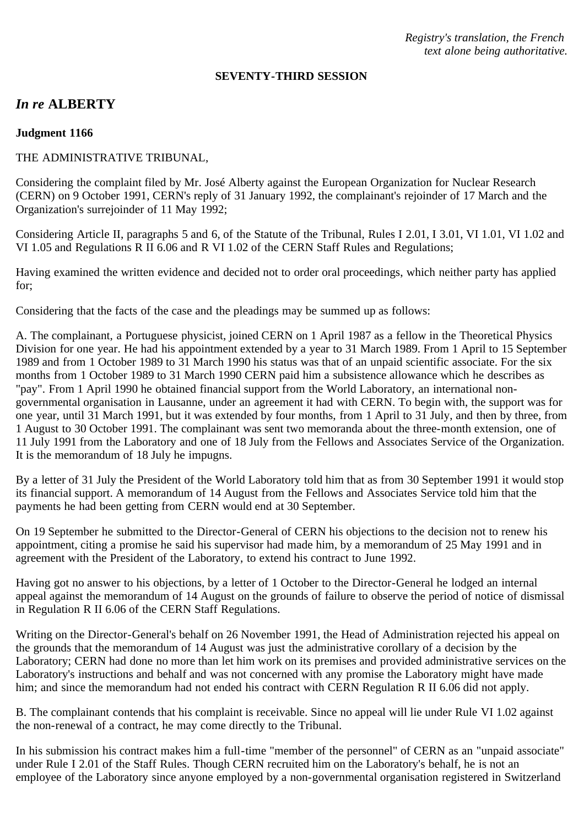*Registry's translation, the French text alone being authoritative.*

#### **SEVENTY-THIRD SESSION**

# *In re* **ALBERTY**

#### **Judgment 1166**

### THE ADMINISTRATIVE TRIBUNAL,

Considering the complaint filed by Mr. José Alberty against the European Organization for Nuclear Research (CERN) on 9 October 1991, CERN's reply of 31 January 1992, the complainant's rejoinder of 17 March and the Organization's surrejoinder of 11 May 1992;

Considering Article II, paragraphs 5 and 6, of the Statute of the Tribunal, Rules I 2.01, I 3.01, VI 1.01, VI 1.02 and VI 1.05 and Regulations R II 6.06 and R VI 1.02 of the CERN Staff Rules and Regulations;

Having examined the written evidence and decided not to order oral proceedings, which neither party has applied for;

Considering that the facts of the case and the pleadings may be summed up as follows:

A. The complainant, a Portuguese physicist, joined CERN on 1 April 1987 as a fellow in the Theoretical Physics Division for one year. He had his appointment extended by a year to 31 March 1989. From 1 April to 15 September 1989 and from 1 October 1989 to 31 March 1990 his status was that of an unpaid scientific associate. For the six months from 1 October 1989 to 31 March 1990 CERN paid him a subsistence allowance which he describes as "pay". From 1 April 1990 he obtained financial support from the World Laboratory, an international nongovernmental organisation in Lausanne, under an agreement it had with CERN. To begin with, the support was for one year, until 31 March 1991, but it was extended by four months, from 1 April to 31 July, and then by three, from 1 August to 30 October 1991. The complainant was sent two memoranda about the three-month extension, one of 11 July 1991 from the Laboratory and one of 18 July from the Fellows and Associates Service of the Organization. It is the memorandum of 18 July he impugns.

By a letter of 31 July the President of the World Laboratory told him that as from 30 September 1991 it would stop its financial support. A memorandum of 14 August from the Fellows and Associates Service told him that the payments he had been getting from CERN would end at 30 September.

On 19 September he submitted to the Director-General of CERN his objections to the decision not to renew his appointment, citing a promise he said his supervisor had made him, by a memorandum of 25 May 1991 and in agreement with the President of the Laboratory, to extend his contract to June 1992.

Having got no answer to his objections, by a letter of 1 October to the Director-General he lodged an internal appeal against the memorandum of 14 August on the grounds of failure to observe the period of notice of dismissal in Regulation R II 6.06 of the CERN Staff Regulations.

Writing on the Director-General's behalf on 26 November 1991, the Head of Administration rejected his appeal on the grounds that the memorandum of 14 August was just the administrative corollary of a decision by the Laboratory; CERN had done no more than let him work on its premises and provided administrative services on the Laboratory's instructions and behalf and was not concerned with any promise the Laboratory might have made him; and since the memorandum had not ended his contract with CERN Regulation R II 6.06 did not apply.

B. The complainant contends that his complaint is receivable. Since no appeal will lie under Rule VI 1.02 against the non-renewal of a contract, he may come directly to the Tribunal.

In his submission his contract makes him a full-time "member of the personnel" of CERN as an "unpaid associate" under Rule I 2.01 of the Staff Rules. Though CERN recruited him on the Laboratory's behalf, he is not an employee of the Laboratory since anyone employed by a non-governmental organisation registered in Switzerland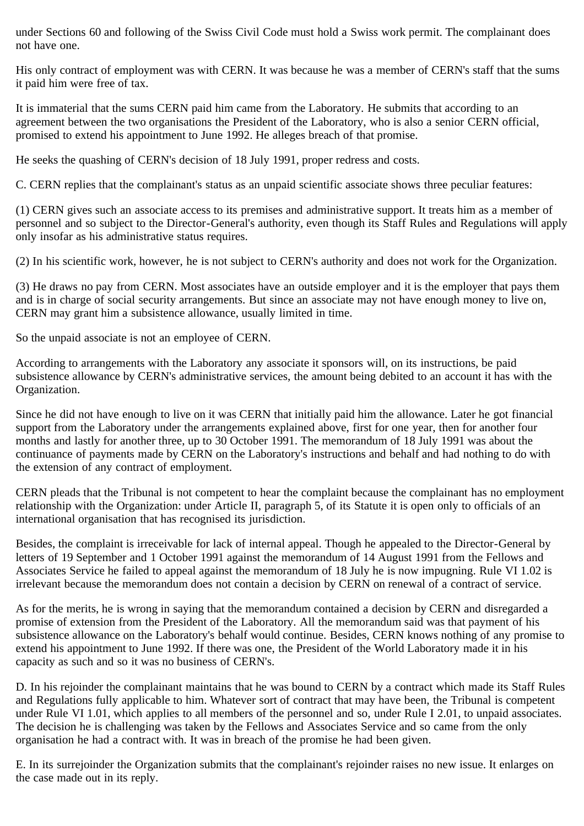under Sections 60 and following of the Swiss Civil Code must hold a Swiss work permit. The complainant does not have one.

His only contract of employment was with CERN. It was because he was a member of CERN's staff that the sums it paid him were free of tax.

It is immaterial that the sums CERN paid him came from the Laboratory. He submits that according to an agreement between the two organisations the President of the Laboratory, who is also a senior CERN official, promised to extend his appointment to June 1992. He alleges breach of that promise.

He seeks the quashing of CERN's decision of 18 July 1991, proper redress and costs.

C. CERN replies that the complainant's status as an unpaid scientific associate shows three peculiar features:

(1) CERN gives such an associate access to its premises and administrative support. It treats him as a member of personnel and so subject to the Director-General's authority, even though its Staff Rules and Regulations will apply only insofar as his administrative status requires.

(2) In his scientific work, however, he is not subject to CERN's authority and does not work for the Organization.

(3) He draws no pay from CERN. Most associates have an outside employer and it is the employer that pays them and is in charge of social security arrangements. But since an associate may not have enough money to live on, CERN may grant him a subsistence allowance, usually limited in time.

So the unpaid associate is not an employee of CERN.

According to arrangements with the Laboratory any associate it sponsors will, on its instructions, be paid subsistence allowance by CERN's administrative services, the amount being debited to an account it has with the Organization.

Since he did not have enough to live on it was CERN that initially paid him the allowance. Later he got financial support from the Laboratory under the arrangements explained above, first for one year, then for another four months and lastly for another three, up to 30 October 1991. The memorandum of 18 July 1991 was about the continuance of payments made by CERN on the Laboratory's instructions and behalf and had nothing to do with the extension of any contract of employment.

CERN pleads that the Tribunal is not competent to hear the complaint because the complainant has no employment relationship with the Organization: under Article II, paragraph 5, of its Statute it is open only to officials of an international organisation that has recognised its jurisdiction.

Besides, the complaint is irreceivable for lack of internal appeal. Though he appealed to the Director-General by letters of 19 September and 1 October 1991 against the memorandum of 14 August 1991 from the Fellows and Associates Service he failed to appeal against the memorandum of 18 July he is now impugning. Rule VI 1.02 is irrelevant because the memorandum does not contain a decision by CERN on renewal of a contract of service.

As for the merits, he is wrong in saying that the memorandum contained a decision by CERN and disregarded a promise of extension from the President of the Laboratory. All the memorandum said was that payment of his subsistence allowance on the Laboratory's behalf would continue. Besides, CERN knows nothing of any promise to extend his appointment to June 1992. If there was one, the President of the World Laboratory made it in his capacity as such and so it was no business of CERN's.

D. In his rejoinder the complainant maintains that he was bound to CERN by a contract which made its Staff Rules and Regulations fully applicable to him. Whatever sort of contract that may have been, the Tribunal is competent under Rule VI 1.01, which applies to all members of the personnel and so, under Rule I 2.01, to unpaid associates. The decision he is challenging was taken by the Fellows and Associates Service and so came from the only organisation he had a contract with. It was in breach of the promise he had been given.

E. In its surrejoinder the Organization submits that the complainant's rejoinder raises no new issue. It enlarges on the case made out in its reply.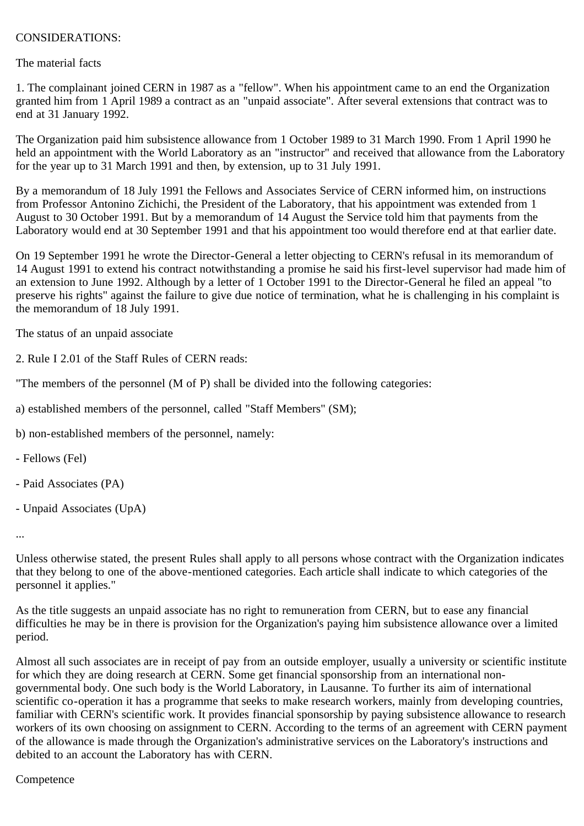## CONSIDERATIONS:

The material facts

1. The complainant joined CERN in 1987 as a "fellow". When his appointment came to an end the Organization granted him from 1 April 1989 a contract as an "unpaid associate". After several extensions that contract was to end at 31 January 1992.

The Organization paid him subsistence allowance from 1 October 1989 to 31 March 1990. From 1 April 1990 he held an appointment with the World Laboratory as an "instructor" and received that allowance from the Laboratory for the year up to 31 March 1991 and then, by extension, up to 31 July 1991.

By a memorandum of 18 July 1991 the Fellows and Associates Service of CERN informed him, on instructions from Professor Antonino Zichichi, the President of the Laboratory, that his appointment was extended from 1 August to 30 October 1991. But by a memorandum of 14 August the Service told him that payments from the Laboratory would end at 30 September 1991 and that his appointment too would therefore end at that earlier date.

On 19 September 1991 he wrote the Director-General a letter objecting to CERN's refusal in its memorandum of 14 August 1991 to extend his contract notwithstanding a promise he said his first-level supervisor had made him of an extension to June 1992. Although by a letter of 1 October 1991 to the Director-General he filed an appeal "to preserve his rights" against the failure to give due notice of termination, what he is challenging in his complaint is the memorandum of 18 July 1991.

The status of an unpaid associate

2. Rule I 2.01 of the Staff Rules of CERN reads:

"The members of the personnel (M of P) shall be divided into the following categories:

a) established members of the personnel, called "Staff Members" (SM);

b) non-established members of the personnel, namely:

- Fellows (Fel)
- Paid Associates (PA)
- Unpaid Associates (UpA)

...

Unless otherwise stated, the present Rules shall apply to all persons whose contract with the Organization indicates that they belong to one of the above-mentioned categories. Each article shall indicate to which categories of the personnel it applies."

As the title suggests an unpaid associate has no right to remuneration from CERN, but to ease any financial difficulties he may be in there is provision for the Organization's paying him subsistence allowance over a limited period.

Almost all such associates are in receipt of pay from an outside employer, usually a university or scientific institute for which they are doing research at CERN. Some get financial sponsorship from an international nongovernmental body. One such body is the World Laboratory, in Lausanne. To further its aim of international scientific co-operation it has a programme that seeks to make research workers, mainly from developing countries, familiar with CERN's scientific work. It provides financial sponsorship by paying subsistence allowance to research workers of its own choosing on assignment to CERN. According to the terms of an agreement with CERN payment of the allowance is made through the Organization's administrative services on the Laboratory's instructions and debited to an account the Laboratory has with CERN.

#### **Competence**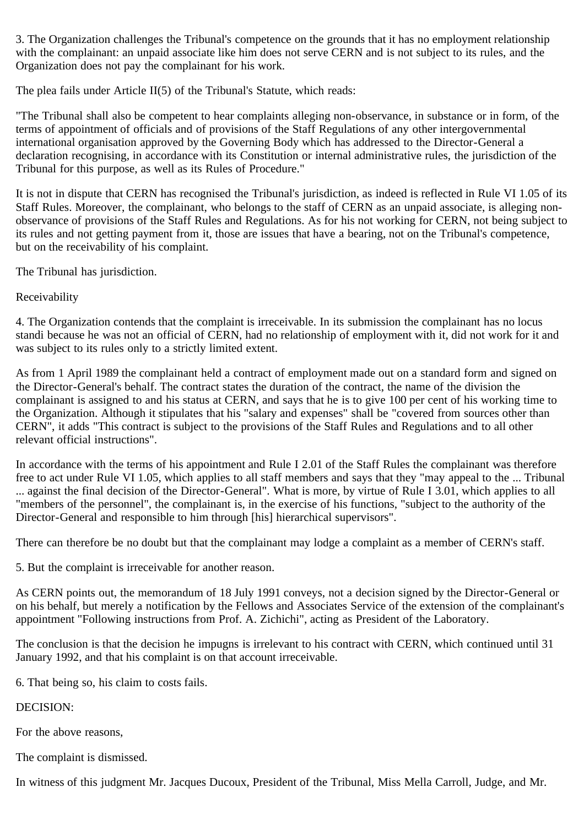3. The Organization challenges the Tribunal's competence on the grounds that it has no employment relationship with the complainant: an unpaid associate like him does not serve CERN and is not subject to its rules, and the Organization does not pay the complainant for his work.

The plea fails under Article II(5) of the Tribunal's Statute, which reads:

"The Tribunal shall also be competent to hear complaints alleging non-observance, in substance or in form, of the terms of appointment of officials and of provisions of the Staff Regulations of any other intergovernmental international organisation approved by the Governing Body which has addressed to the Director-General a declaration recognising, in accordance with its Constitution or internal administrative rules, the jurisdiction of the Tribunal for this purpose, as well as its Rules of Procedure."

It is not in dispute that CERN has recognised the Tribunal's jurisdiction, as indeed is reflected in Rule VI 1.05 of its Staff Rules. Moreover, the complainant, who belongs to the staff of CERN as an unpaid associate, is alleging nonobservance of provisions of the Staff Rules and Regulations. As for his not working for CERN, not being subject to its rules and not getting payment from it, those are issues that have a bearing, not on the Tribunal's competence, but on the receivability of his complaint.

The Tribunal has jurisdiction.

Receivability

4. The Organization contends that the complaint is irreceivable. In its submission the complainant has no locus standi because he was not an official of CERN, had no relationship of employment with it, did not work for it and was subject to its rules only to a strictly limited extent.

As from 1 April 1989 the complainant held a contract of employment made out on a standard form and signed on the Director-General's behalf. The contract states the duration of the contract, the name of the division the complainant is assigned to and his status at CERN, and says that he is to give 100 per cent of his working time to the Organization. Although it stipulates that his "salary and expenses" shall be "covered from sources other than CERN", it adds "This contract is subject to the provisions of the Staff Rules and Regulations and to all other relevant official instructions".

In accordance with the terms of his appointment and Rule I 2.01 of the Staff Rules the complainant was therefore free to act under Rule VI 1.05, which applies to all staff members and says that they "may appeal to the ... Tribunal ... against the final decision of the Director-General". What is more, by virtue of Rule I 3.01, which applies to all "members of the personnel", the complainant is, in the exercise of his functions, "subject to the authority of the Director-General and responsible to him through [his] hierarchical supervisors".

There can therefore be no doubt but that the complainant may lodge a complaint as a member of CERN's staff.

5. But the complaint is irreceivable for another reason.

As CERN points out, the memorandum of 18 July 1991 conveys, not a decision signed by the Director-General or on his behalf, but merely a notification by the Fellows and Associates Service of the extension of the complainant's appointment "Following instructions from Prof. A. Zichichi", acting as President of the Laboratory.

The conclusion is that the decision he impugns is irrelevant to his contract with CERN, which continued until 31 January 1992, and that his complaint is on that account irreceivable.

6. That being so, his claim to costs fails.

DECISION:

For the above reasons,

The complaint is dismissed.

In witness of this judgment Mr. Jacques Ducoux, President of the Tribunal, Miss Mella Carroll, Judge, and Mr.